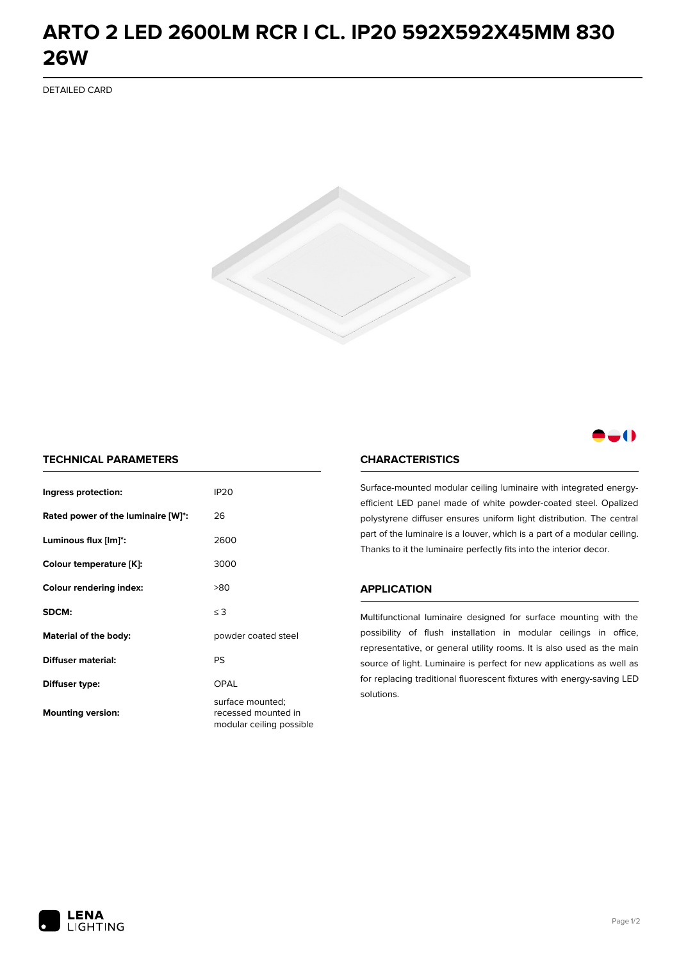## **ARTO 2 LED 2600LM RCR I CL. IP20 592X592X45MM 830 26W**

DETAILED CARD



### -0

#### **TECHNICAL PARAMETERS**

| Ingress protection:                | <b>IP20</b>                                                         |
|------------------------------------|---------------------------------------------------------------------|
| Rated power of the luminaire [W]*: | 26                                                                  |
| Luminous flux [lm]*:               | 2600                                                                |
| Colour temperature [K]:            | 3000                                                                |
| <b>Colour rendering index:</b>     | >80                                                                 |
| SDCM:                              | $\leq 3$                                                            |
| Material of the body:              | powder coated steel                                                 |
| Diffuser material:                 | PS                                                                  |
| Diffuser type:                     | OPAL                                                                |
| <b>Mounting version:</b>           | surface mounted;<br>recessed mounted in<br>modular ceiling possible |

#### **CHARACTERISTICS**

Surface-mounted modular ceiling luminaire with integrated energyefficient LED panel made of white powder-coated steel. Opalized polystyrene diffuser ensures uniform light distribution. The central part of the luminaire is a louver, which is a part of a modular ceiling. Thanks to it the luminaire perfectly fits into the interior decor.

#### **APPLICATION**

Multifunctional luminaire designed for surface mounting with the possibility of flush installation in modular ceilings in office, representative, or general utility rooms. It is also used as the main source of light. Luminaire is perfect for new applications as well as for replacing traditional fluorescent fixtures with energy-saving LED solutions.